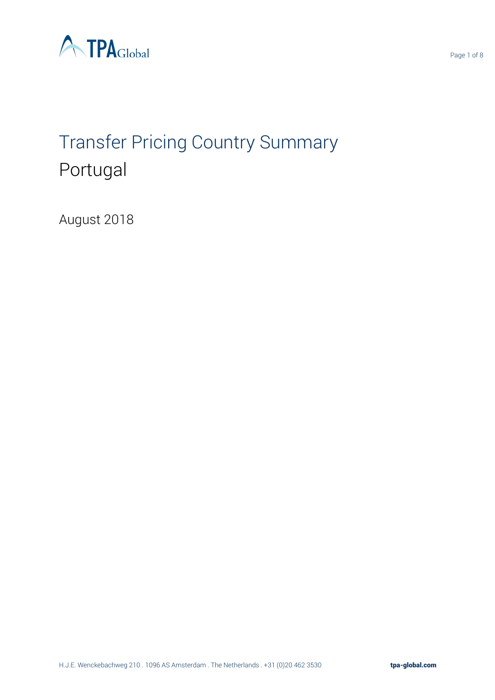

# Transfer Pricing Country Summary Portugal

August 2018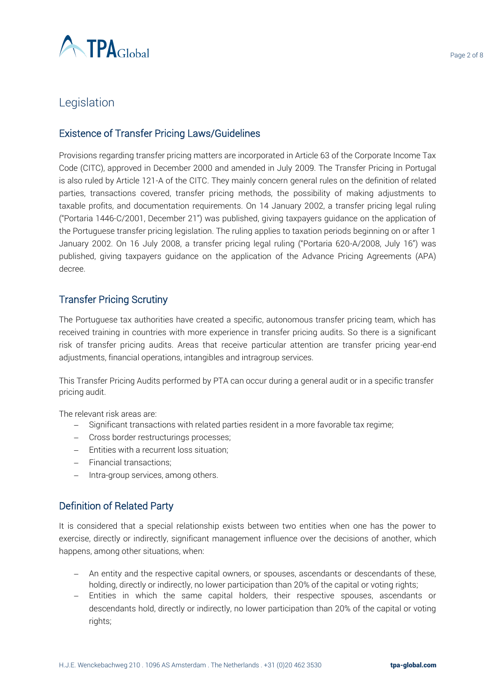

# Legislation

## Existence of Transfer Pricing Laws/Guidelines

Provisions regarding transfer pricing matters are incorporated in Article 63 of the Corporate Income Tax Code (CITC), approved in December 2000 and amended in July 2009. The Transfer Pricing in Portugal is also ruled by Article 121-A of the CITC. They mainly concern general rules on the definition of related parties, transactions covered, transfer pricing methods, the possibility of making adjustments to taxable profits, and documentation requirements. On 14 January 2002, a transfer pricing legal ruling ("Portaria 1446-C/2001, December 21") was published, giving taxpayers guidance on the application of the Portuguese transfer pricing legislation. The ruling applies to taxation periods beginning on or after 1 January 2002. On 16 July 2008, a transfer pricing legal ruling ("Portaria 620-A/2008, July 16") was published, giving taxpayers guidance on the application of the Advance Pricing Agreements (APA) decree.

## Transfer Pricing Scrutiny

The Portuguese tax authorities have created a specific, autonomous transfer pricing team, which has received training in countries with more experience in transfer pricing audits. So there is a significant risk of transfer pricing audits. Areas that receive particular attention are transfer pricing year-end adjustments, financial operations, intangibles and intragroup services.

This Transfer Pricing Audits performed by PTA can occur during a general audit or in a specific transfer pricing audit.

The relevant risk areas are:

- − Significant transactions with related parties resident in a more favorable tax regime;
- − Cross border restructurings processes;
- − Entities with a recurrent loss situation;
- − Financial transactions;
- − Intra-group services, among others.

## Definition of Related Party

It is considered that a special relationship exists between two entities when one has the power to exercise, directly or indirectly, significant management influence over the decisions of another, which happens, among other situations, when:

- − An entity and the respective capital owners, or spouses, ascendants or descendants of these, holding, directly or indirectly, no lower participation than 20% of the capital or voting rights;
- − Entities in which the same capital holders, their respective spouses, ascendants or descendants hold, directly or indirectly, no lower participation than 20% of the capital or voting rights;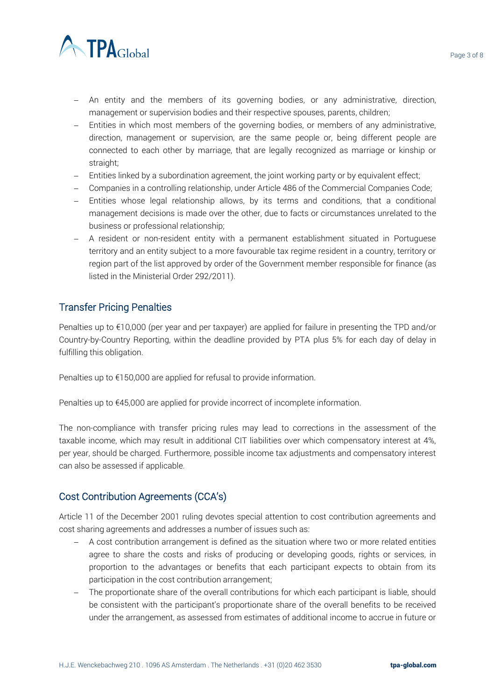

- − An entity and the members of its governing bodies, or any administrative, direction, management or supervision bodies and their respective spouses, parents, children;
- − Entities in which most members of the governing bodies, or members of any administrative, direction, management or supervision, are the same people or, being different people are connected to each other by marriage, that are legally recognized as marriage or kinship or straight;
- − Entities linked by a subordination agreement, the joint working party or by equivalent effect;
- − Companies in a controlling relationship, under Article 486 of the Commercial Companies Code;
- − Entities whose legal relationship allows, by its terms and conditions, that a conditional management decisions is made over the other, due to facts or circumstances unrelated to the business or professional relationship;
- − A resident or non-resident entity with a permanent establishment situated in Portuguese territory and an entity subject to a more favourable tax regime resident in a country, territory or region part of the list approved by order of the Government member responsible for finance (as listed in the Ministerial Order 292/2011).

## Transfer Pricing Penalties

Penalties up to €10,000 (per year and per taxpayer) are applied for failure in presenting the TPD and/or Country-by-Country Reporting, within the deadline provided by PTA plus 5% for each day of delay in fulfilling this obligation.

Penalties up to €150,000 are applied for refusal to provide information.

Penalties up to €45,000 are applied for provide incorrect of incomplete information.

The non-compliance with transfer pricing rules may lead to corrections in the assessment of the taxable income, which may result in additional CIT liabilities over which compensatory interest at 4%, per year, should be charged. Furthermore, possible income tax adjustments and compensatory interest can also be assessed if applicable.

## Cost Contribution Agreements (CCA's)

Article 11 of the December 2001 ruling devotes special attention to cost contribution agreements and cost sharing agreements and addresses a number of issues such as:

- − A cost contribution arrangement is defined as the situation where two or more related entities agree to share the costs and risks of producing or developing goods, rights or services, in proportion to the advantages or benefits that each participant expects to obtain from its participation in the cost contribution arrangement;
- − The proportionate share of the overall contributions for which each participant is liable, should be consistent with the participant's proportionate share of the overall benefits to be received under the arrangement, as assessed from estimates of additional income to accrue in future or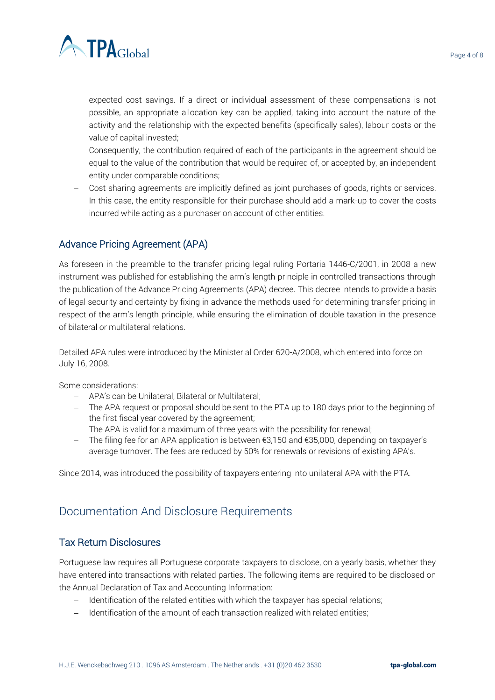

expected cost savings. If a direct or individual assessment of these compensations is not possible, an appropriate allocation key can be applied, taking into account the nature of the activity and the relationship with the expected benefits (specifically sales), labour costs or the value of capital invested;

- − Consequently, the contribution required of each of the participants in the agreement should be equal to the value of the contribution that would be required of, or accepted by, an independent entity under comparable conditions;
- − Cost sharing agreements are implicitly defined as joint purchases of goods, rights or services. In this case, the entity responsible for their purchase should add a mark-up to cover the costs incurred while acting as a purchaser on account of other entities.

# Advance Pricing Agreement (APA)

As foreseen in the preamble to the transfer pricing legal ruling Portaria 1446-C/2001, in 2008 a new instrument was published for establishing the arm's length principle in controlled transactions through the publication of the Advance Pricing Agreements (APA) decree. This decree intends to provide a basis of legal security and certainty by fixing in advance the methods used for determining transfer pricing in respect of the arm's length principle, while ensuring the elimination of double taxation in the presence of bilateral or multilateral relations.

Detailed APA rules were introduced by the Ministerial Order 620-A/2008, which entered into force on July 16, 2008.

Some considerations:

- − APA's can be Unilateral, Bilateral or Multilateral;
- − The APA request or proposal should be sent to the PTA up to 180 days prior to the beginning of the first fiscal year covered by the agreement;
- − The APA is valid for a maximum of three years with the possibility for renewal;
- − The filing fee for an APA application is between €3,150 and €35,000, depending on taxpayer's average turnover. The fees are reduced by 50% for renewals or revisions of existing APA's.

Since 2014, was introduced the possibility of taxpayers entering into unilateral APA with the PTA.

# Documentation And Disclosure Requirements

## Tax Return Disclosures

Portuguese law requires all Portuguese corporate taxpayers to disclose, on a yearly basis, whether they have entered into transactions with related parties. The following items are required to be disclosed on the Annual Declaration of Tax and Accounting Information:

- − Identification of the related entities with which the taxpayer has special relations;
- − Identification of the amount of each transaction realized with related entities;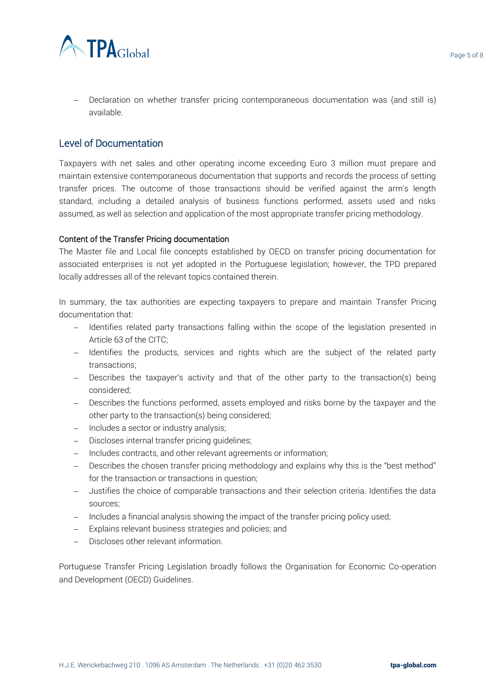

− Declaration on whether transfer pricing contemporaneous documentation was (and still is) available.

### Level of Documentation

Taxpayers with net sales and other operating income exceeding Euro 3 million must prepare and maintain extensive contemporaneous documentation that supports and records the process of setting transfer prices. The outcome of those transactions should be verified against the arm's length standard, including a detailed analysis of business functions performed, assets used and risks assumed, as well as selection and application of the most appropriate transfer pricing methodology.

#### Content of the Transfer Pricing documentation

The Master file and Local file concepts established by OECD on transfer pricing documentation for associated enterprises is not yet adopted in the Portuguese legislation; however, the TPD prepared locally addresses all of the relevant topics contained therein.

In summary, the tax authorities are expecting taxpayers to prepare and maintain Transfer Pricing documentation that:

- − Identifies related party transactions falling within the scope of the legislation presented in Article 63 of the CITC;
- − Identifies the products, services and rights which are the subject of the related party transactions;
- − Describes the taxpayer's activity and that of the other party to the transaction(s) being considered;
- − Describes the functions performed, assets employed and risks borne by the taxpayer and the other party to the transaction(s) being considered;
- − Includes a sector or industry analysis;
- − Discloses internal transfer pricing guidelines;
- − Includes contracts, and other relevant agreements or information;
- − Describes the chosen transfer pricing methodology and explains why this is the "best method" for the transaction or transactions in question;
- − Justifies the choice of comparable transactions and their selection criteria. Identifies the data sources;
- − Includes a financial analysis showing the impact of the transfer pricing policy used;
- − Explains relevant business strategies and policies; and
- − Discloses other relevant information.

Portuguese Transfer Pricing Legislation broadly follows the Organisation for Economic Co-operation and Development (OECD) Guidelines.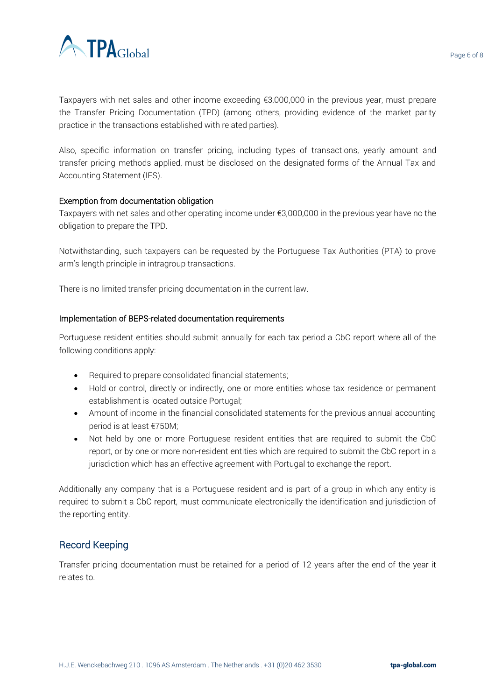

Taxpayers with net sales and other income exceeding €3,000,000 in the previous year, must prepare the Transfer Pricing Documentation (TPD) (among others, providing evidence of the market parity practice in the transactions established with related parties).

Also, specific information on transfer pricing, including types of transactions, yearly amount and transfer pricing methods applied, must be disclosed on the designated forms of the Annual Tax and Accounting Statement (IES).

#### Exemption from documentation obligation

Taxpayers with net sales and other operating income under €3,000,000 in the previous year have no the obligation to prepare the TPD.

Notwithstanding, such taxpayers can be requested by the Portuguese Tax Authorities (PTA) to prove arm's length principle in intragroup transactions.

There is no limited transfer pricing documentation in the current law.

#### Implementation of BEPS-related documentation requirements

Portuguese resident entities should submit annually for each tax period a CbC report where all of the following conditions apply:

- Required to prepare consolidated financial statements;
- Hold or control, directly or indirectly, one or more entities whose tax residence or permanent establishment is located outside Portugal;
- Amount of income in the financial consolidated statements for the previous annual accounting period is at least €750M;
- Not held by one or more Portuguese resident entities that are required to submit the CbC report, or by one or more non-resident entities which are required to submit the CbC report in a jurisdiction which has an effective agreement with Portugal to exchange the report.

Additionally any company that is a Portuguese resident and is part of a group in which any entity is required to submit a CbC report, must communicate electronically the identification and jurisdiction of the reporting entity.

## Record Keeping

Transfer pricing documentation must be retained for a period of 12 years after the end of the year it relates to.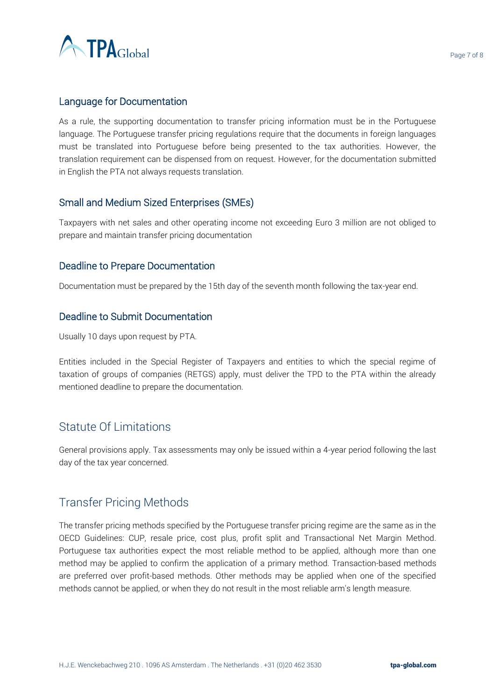

## Language for Documentation

As a rule, the supporting documentation to transfer pricing information must be in the Portuguese language. The Portuguese transfer pricing regulations require that the documents in foreign languages must be translated into Portuguese before being presented to the tax authorities. However, the translation requirement can be dispensed from on request. However, for the documentation submitted in English the PTA not always requests translation.

## Small and Medium Sized Enterprises (SMEs)

Taxpayers with net sales and other operating income not exceeding Euro 3 million are not obliged to prepare and maintain transfer pricing documentation

## Deadline to Prepare Documentation

Documentation must be prepared by the 15th day of the seventh month following the tax-year end.

## Deadline to Submit Documentation

Usually 10 days upon request by PTA.

Entities included in the Special Register of Taxpayers and entities to which the special regime of taxation of groups of companies (RETGS) apply, must deliver the TPD to the PTA within the already mentioned deadline to prepare the documentation.

# Statute Of Limitations

General provisions apply. Tax assessments may only be issued within a 4-year period following the last day of the tax year concerned.

# Transfer Pricing Methods

The transfer pricing methods specified by the Portuguese transfer pricing regime are the same as in the OECD Guidelines: CUP, resale price, cost plus, profit split and Transactional Net Margin Method. Portuguese tax authorities expect the most reliable method to be applied, although more than one method may be applied to confirm the application of a primary method. Transaction-based methods are preferred over profit-based methods. Other methods may be applied when one of the specified methods cannot be applied, or when they do not result in the most reliable arm's length measure.